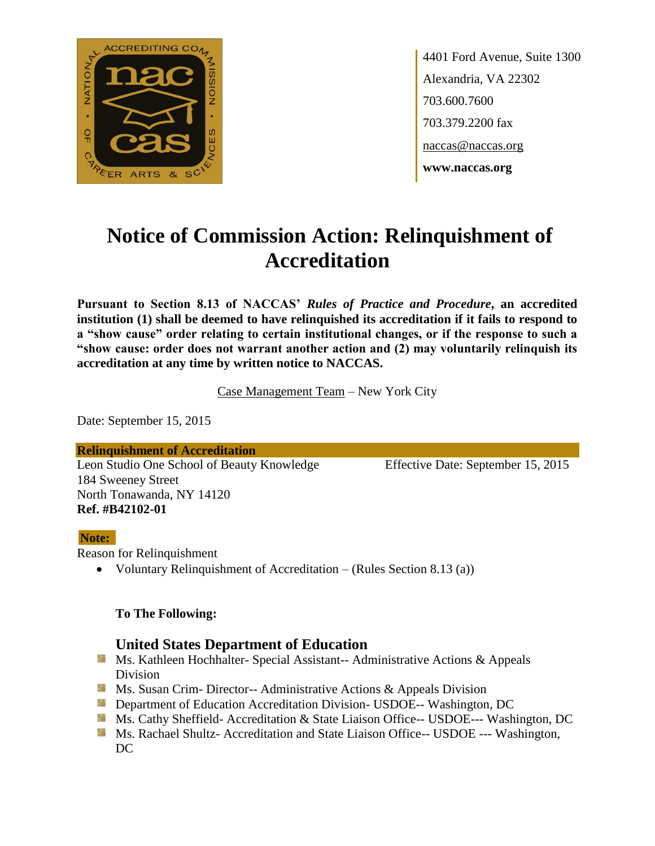

4401 Ford Avenue, Suite 1300 Alexandria, VA 22302 703.600.7600 703.379.2200 fax naccas@naccas.org **www.naccas.org**

# **Notice of Commission Action: Relinquishment of Accreditation**

**Pursuant to Section 8.13 of NACCAS'** *Rules of Practice and Procedure***, an accredited institution (1) shall be deemed to have relinquished its accreditation if it fails to respond to a "show cause" order relating to certain institutional changes, or if the response to such a "show cause: order does not warrant another action and (2) may voluntarily relinquish its accreditation at any time by written notice to NACCAS.**

Case Management Team – New York City

Date: September 15, 2015

**Relinquishment of Accreditation** Leon Studio One School of Beauty Knowledge Effective Date: September 15, 2015 184 Sweeney Street North Tonawanda, NY 14120 **Ref. #B42102-01**

#### **Note:**

Reason for Relinquishment

Voluntary Relinquishment of Accreditation – (Rules Section 8.13 (a))

#### **To The Following:**

#### **United States Department of Education**

- **Ms. Kathleen Hochhalter- Special Assistant-- Administrative Actions & Appeals** Division
- **Ms. Susan Crim- Director-- Administrative Actions & Appeals Division**
- **Department of Education Accreditation Division- USDOE-- Washington, DC**
- Ms. Cathy Sheffield- Accreditation & State Liaison Office-- USDOE--- Washington, DC
- **MS. Rachael Shultz- Accreditation and State Liaison Office-- USDOE --- Washington,**  $DC$